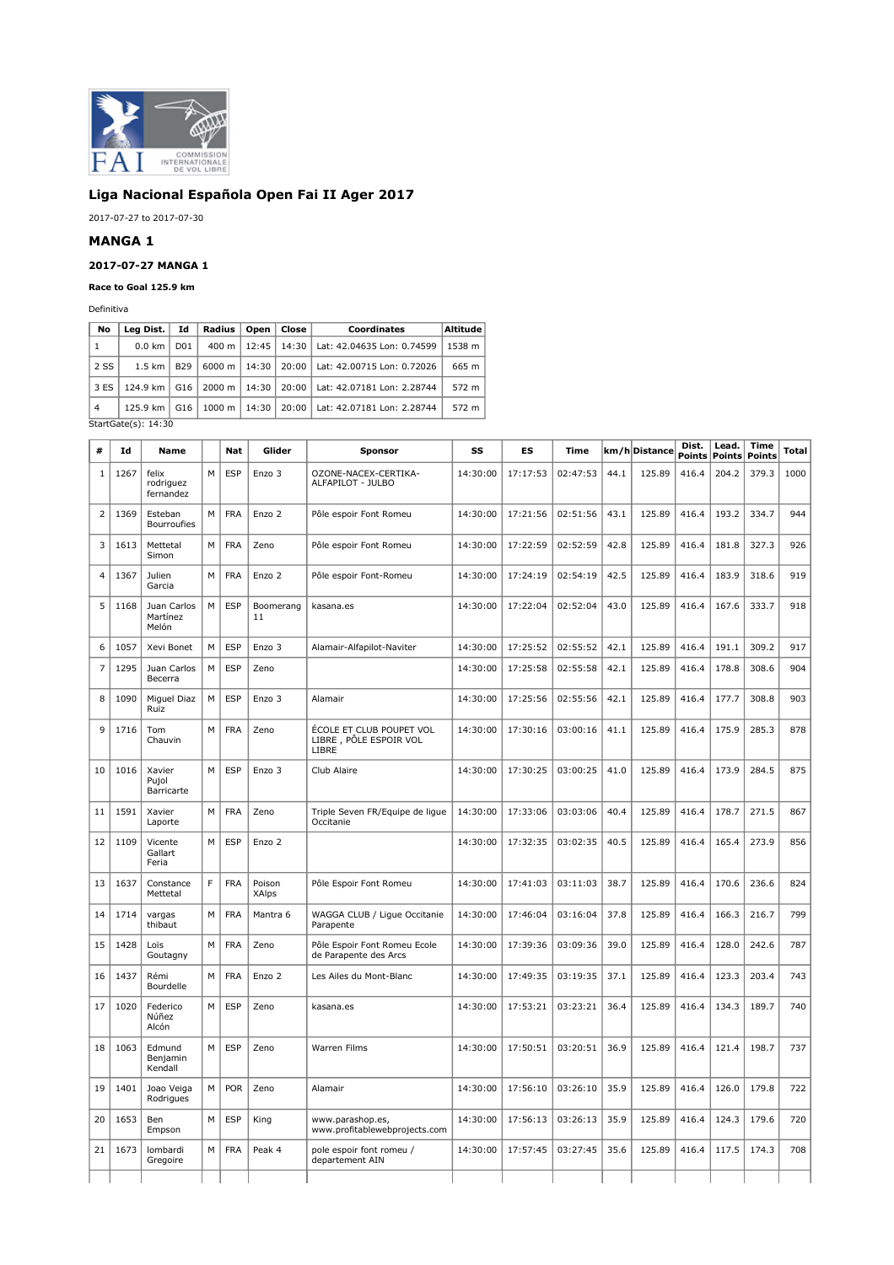

# **Liga Nacional Española Open Fai II Ager 2017**

2017-07-27 to 2017-07-30

## **MANGA 1**

## **2017-07-27 MANGA 1**

## **Race to Goal 125.9 km**

Definitiva

| No             | Lea Dist.               | Id               | Radius             | Open  | Close | Coordinates                | Altitude |  |  |  |
|----------------|-------------------------|------------------|--------------------|-------|-------|----------------------------|----------|--|--|--|
| 1              | $0.0 \text{ km}$        | D <sub>0</sub> 1 | $400 \text{ m}$    | 12:45 | 14:30 | Lat: 42.04635 Lon: 0.74599 | 1538 m   |  |  |  |
| 2 SS           | $1.5$ km $\vert$        | <b>B29</b>       | $6000 \text{ m}$   | 14:30 | 20:00 | Lat: 42.00715 Lon: 0.72026 | 665 m    |  |  |  |
| 3 ES           | 124.9 km                | G16              | 2000 m             | 14:30 | 20:00 | Lat: 42.07181 Lon: 2.28744 | 572 m    |  |  |  |
| $\overline{4}$ | 125.9 km                | G16              | $1000 \; \text{m}$ | 14:30 | 20:00 | Lat: 42.07181 Lon: 2.28744 | 572 m    |  |  |  |
|                | StartGate $(s)$ : 14:30 |                  |                    |       |       |                            |          |  |  |  |

| #              | Id   | <b>Name</b>                      |   | <b>Nat</b> | Glider          | <b>Sponsor</b>                                              | SS       | ES       | <b>Time</b> |      | km/hDistance | Dist.<br><b>Points</b> | Lead.<br><b>Points</b> | Time<br>Points | <b>Total</b> |
|----------------|------|----------------------------------|---|------------|-----------------|-------------------------------------------------------------|----------|----------|-------------|------|--------------|------------------------|------------------------|----------------|--------------|
| 1              | 1267 | felix<br>rodriguez<br>fernandez  | M | <b>ESP</b> | Enzo 3          | OZONE-NACEX-CERTIKA-<br>ALFAPILOT - JULBO                   | 14:30:00 | 17:17:53 | 02:47:53    | 44.1 | 125.89       | 416.4                  | 204.2                  | 379.3          | 1000         |
| $\overline{2}$ | 1369 | Esteban<br>Bourroufies           | M | <b>FRA</b> | Enzo 2          | Pôle espoir Font Romeu                                      | 14:30:00 | 17:21:56 | 02:51:56    | 43.1 | 125.89       | 416.4                  | 193.2                  | 334.7          | 944          |
| 3              | 1613 | Mettetal<br>Simon                | М | <b>FRA</b> | Zeno            | Pôle espoir Font Romeu                                      | 14:30:00 | 17:22:59 | 02:52:59    | 42.8 | 125.89       | 416.4                  | 181.8                  | 327.3          | 926          |
| $\overline{4}$ | 1367 | Julien<br>Garcia                 | M | <b>FRA</b> | Enzo 2          | Pôle espoir Font-Romeu                                      | 14:30:00 | 17:24:19 | 02:54:19    | 42.5 | 125.89       | 416.4                  | 183.9                  | 318.6          | 919          |
| 5              | 1168 | Juan Carlos<br>Martínez<br>Melón | M | <b>ESP</b> | Boomerang<br>11 | kasana.es                                                   | 14:30:00 | 17:22:04 | 02:52:04    | 43.0 | 125.89       | 416.4                  | 167.6                  | 333.7          | 918          |
| 6              | 1057 | Xevi Bonet                       | М | <b>ESP</b> | Enzo 3          | Alamair-Alfapilot-Naviter                                   | 14:30:00 | 17:25:52 | 02:55:52    | 42.1 | 125.89       | 416.4                  | 191.1                  | 309.2          | 917          |
| 7              | 1295 | Juan Carlos<br>Becerra           | M | <b>ESP</b> | Zeno            |                                                             | 14:30:00 | 17:25:58 | 02:55:58    | 42.1 | 125.89       | 416.4                  | 178.8                  | 308.6          | 904          |
| 8              | 1090 | Miguel Diaz<br>Ruiz              | M | ESP        | Enzo 3          | Alamair                                                     | 14:30:00 | 17:25:56 | 02:55:56    | 42.1 | 125.89       | 416.4                  | 177.7                  | 308.8          | 903          |
| 9              | 1716 | Tom<br>Chauvin                   | M | <b>FRA</b> | Zeno            | ÉCOLE ET CLUB POUPET VOL<br>LIBRE, PÔLE ESPOIR VOL<br>LIBRE | 14:30:00 | 17:30:16 | 03:00:16    | 41.1 | 125.89       | 416.4                  | 175.9                  | 285.3          | 878          |
| 10             | 1016 | Xavier<br>Pujol<br>Barricarte    | M | <b>ESP</b> | Enzo 3          | Club Alaire                                                 | 14:30:00 | 17:30:25 | 03:00:25    | 41.0 | 125.89       | 416.4                  | 173.9                  | 284.5          | 875          |
| 11             | 1591 | Xavier<br>Laporte                | M | <b>FRA</b> | Zeno            | Triple Seven FR/Equipe de ligue<br>Occitanie                | 14:30:00 | 17:33:06 | 03:03:06    | 40.4 | 125.89       | 416.4                  | 178.7                  | 271.5          | 867          |
| 12             | 1109 | Vicente<br>Gallart<br>Feria      | M | <b>ESP</b> | Enzo 2          |                                                             | 14:30:00 | 17:32:35 | 03:02:35    | 40.5 | 125.89       | 416.4                  | 165.4                  | 273.9          | 856          |
| 13             | 1637 | Constance<br>Mettetal            | F | <b>FRA</b> | Poison<br>XAlps | Pôle Espoir Font Romeu                                      | 14:30:00 | 17:41:03 | 03:11:03    | 38.7 | 125.89       | 416.4                  | 170.6                  | 236.6          | 824          |
| 14             | 1714 | vargas<br>thibaut                | М | <b>FRA</b> | Mantra 6        | WAGGA CLUB / Ligue Occitanie<br>Parapente                   | 14:30:00 | 17:46:04 | 03:16:04    | 37.8 | 125.89       | 416.4                  | 166.3                  | 216.7          | 799          |
| 15             | 1428 | Loïs<br>Goutagny                 | M | <b>FRA</b> | Zeno            | Pôle Espoir Font Romeu Ecole<br>de Parapente des Arcs       | 14:30:00 | 17:39:36 | 03:09:36    | 39.0 | 125.89       | 416.4                  | 128.0                  | 242.6          | 787          |
| 16             | 1437 | Rémi<br>Bourdelle                | M | <b>FRA</b> | Enzo 2          | Les Ailes du Mont-Blanc                                     | 14:30:00 | 17:49:35 | 03:19:35    | 37.1 | 125.89       | 416.4                  | 123.3                  | 203.4          | 743          |
| 17             | 1020 | Federico<br>Núñez<br>Alcón       | М | <b>ESP</b> | Zeno            | kasana.es                                                   | 14:30:00 | 17:53:21 | 03:23:21    | 36.4 | 125.89       | 416.4                  | 134.3                  | 189.7          | 740          |
| 18             | 1063 | Edmund<br>Benjamin<br>Kendall    | M | <b>ESP</b> | Zeno            | Warren Films                                                | 14:30:00 | 17:50:51 | 03:20:51    | 36.9 | 125.89       | 416.4                  | 121.4                  | 198.7          | 737          |
| 19             | 1401 | Joao Veiga<br>Rodrigues          | M | <b>POR</b> | Zeno            | Alamair                                                     | 14:30:00 | 17:56:10 | 03:26:10    | 35.9 | 125.89       | 416.4                  | 126.0                  | 179.8          | 722          |
| 20             | 1653 | Ben<br>Empson                    | M | <b>ESP</b> | King            | www.parashop.es.<br>www.profitablewebprojects.com           | 14:30:00 | 17:56:13 | 03:26:13    | 35.9 | 125.89       | 416.4                  | 124.3                  | 179.6          | 720          |
| 21             | 1673 | lombardi<br>Gregoire             | M | <b>FRA</b> | Peak 4          | pole espoir font romeu /<br>departement AIN                 | 14:30:00 | 17:57:45 | 03:27:45    | 35.6 | 125.89       | 416.4                  | 117.5                  | 174.3          | 708          |
|                |      |                                  |   |            |                 |                                                             |          |          |             |      |              |                        |                        |                |              |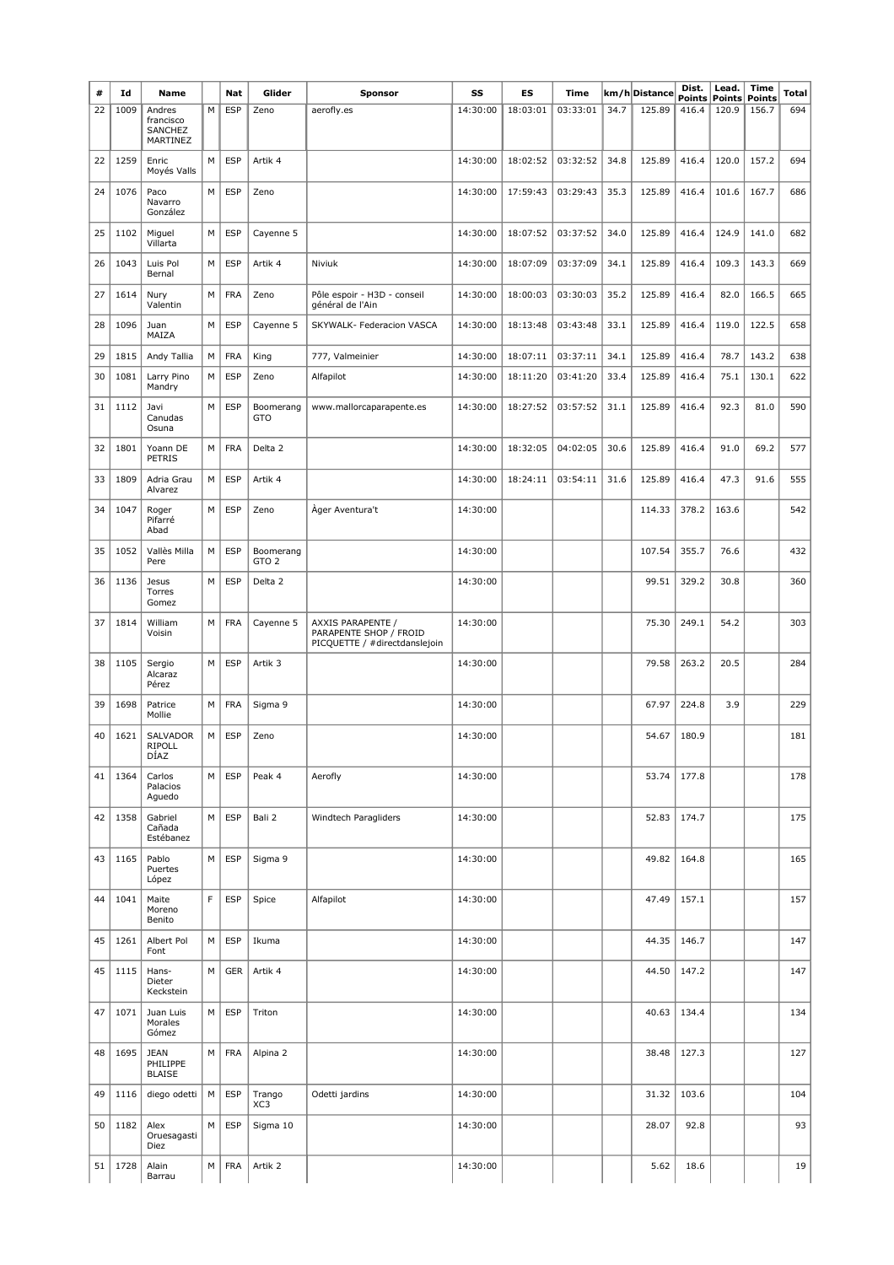| #  | Id   | <b>Name</b>                                |   | Nat        | Glider                        | Sponsor                                                                      | SS       | ES       | Time     |      | km/h Distance | Dist.<br>Points | Lead.<br>Points Points | Time  | <b>Total</b> |
|----|------|--------------------------------------------|---|------------|-------------------------------|------------------------------------------------------------------------------|----------|----------|----------|------|---------------|-----------------|------------------------|-------|--------------|
| 22 | 1009 | Andres<br>francisco<br>SANCHEZ<br>MARTINEZ | М | <b>ESP</b> | Zeno                          | aerofly.es                                                                   | 14:30:00 | 18:03:01 | 03:33:01 | 34.7 | 125.89        | 416.4           | 120.9                  | 156.7 | 694          |
| 22 | 1259 | Enric<br>Moyés Valls                       | М | <b>ESP</b> | Artik 4                       |                                                                              | 14:30:00 | 18:02:52 | 03:32:52 | 34.8 | 125.89        | 416.4           | 120.0                  | 157.2 | 694          |
| 24 | 1076 | Paco<br>Navarro<br>González                | М | <b>ESP</b> | Zeno                          |                                                                              | 14:30:00 | 17:59:43 | 03:29:43 | 35.3 | 125.89        | 416.4           | 101.6                  | 167.7 | 686          |
| 25 | 1102 | Miguel<br>Villarta                         | M | <b>ESP</b> | Cayenne 5                     |                                                                              | 14:30:00 | 18:07:52 | 03:37:52 | 34.0 | 125.89        | 416.4           | 124.9                  | 141.0 | 682          |
| 26 | 1043 | Luis Pol<br>Bernal                         | М | <b>ESP</b> | Artik 4                       | Niviuk                                                                       | 14:30:00 | 18:07:09 | 03:37:09 | 34.1 | 125.89        | 416.4           | 109.3                  | 143.3 | 669          |
| 27 | 1614 | Nury<br>Valentin                           | М | <b>FRA</b> | Zeno                          | Pôle espoir - H3D - conseil<br>général de l'Ain                              | 14:30:00 | 18:00:03 | 03:30:03 | 35.2 | 125.89        | 416.4           | 82.0                   | 166.5 | 665          |
| 28 | 1096 | Juan<br>MAIZA                              | M | <b>ESP</b> | Cayenne 5                     | SKYWALK- Federacion VASCA                                                    | 14:30:00 | 18:13:48 | 03:43:48 | 33.1 | 125.89        | 416.4           | 119.0                  | 122.5 | 658          |
| 29 | 1815 | Andy Tallia                                | М | <b>FRA</b> | King                          | 777, Valmeinier                                                              | 14:30:00 | 18:07:11 | 03:37:11 | 34.1 | 125.89        | 416.4           | 78.7                   | 143.2 | 638          |
| 30 | 1081 | Larry Pino<br>Mandry                       | М | <b>ESP</b> | Zeno                          | Alfapilot                                                                    | 14:30:00 | 18:11:20 | 03:41:20 | 33.4 | 125.89        | 416.4           | 75.1                   | 130.1 | 622          |
| 31 | 1112 | Javi<br>Canudas<br>Osuna                   | М | <b>ESP</b> | Boomerang<br>GTO              | www.mallorcaparapente.es                                                     | 14:30:00 | 18:27:52 | 03:57:52 | 31.1 | 125.89        | 416.4           | 92.3                   | 81.0  | 590          |
| 32 | 1801 | Yoann DE<br>PETRIS                         | М | <b>FRA</b> | Delta <sub>2</sub>            |                                                                              | 14:30:00 | 18:32:05 | 04:02:05 | 30.6 | 125.89        | 416.4           | 91.0                   | 69.2  | 577          |
| 33 | 1809 | Adria Grau<br>Alvarez                      | М | <b>ESP</b> | Artik 4                       |                                                                              | 14:30:00 | 18:24:11 | 03:54:11 | 31.6 | 125.89        | 416.4           | 47.3                   | 91.6  | 555          |
| 34 | 1047 | Roger<br>Pifarré<br>Abad                   | M | <b>ESP</b> | Zeno                          | Åger Aventura't                                                              | 14:30:00 |          |          |      | 114.33        | 378.2           | 163.6                  |       | 542          |
| 35 | 1052 | Vallès Milla<br>Pere                       | M | <b>ESP</b> | Boomerang<br>GTO <sub>2</sub> |                                                                              | 14:30:00 |          |          |      | 107.54        | 355.7           | 76.6                   |       | 432          |
| 36 | 1136 | Jesus<br>Torres<br>Gomez                   | M | <b>ESP</b> | Delta <sub>2</sub>            |                                                                              | 14:30:00 |          |          |      | 99.51         | 329.2           | 30.8                   |       | 360          |
| 37 | 1814 | William<br>Voisin                          | M | <b>FRA</b> | Cayenne 5                     | AXXIS PARAPENTE /<br>PARAPENTE SHOP / FROID<br>PICQUETTE / #directdanslejoin | 14:30:00 |          |          |      | 75.30         | 249.1           | 54.2                   |       | 303          |
| 38 | 1105 | Sergio<br>Alcaraz<br>Pérez                 | M | <b>ESP</b> | Artik 3                       |                                                                              | 14:30:00 |          |          |      | 79.58         | 263.2           | 20.5                   |       | 284          |
| 39 | 1698 | Patrice<br>Mollie                          | М | <b>FRA</b> | Sigma 9                       |                                                                              | 14:30:00 |          |          |      | 67.97         | 224.8           | 3.9                    |       | 229          |
| 40 | 1621 | <b>SALVADOR</b><br><b>RIPOLL</b><br>DÍAZ   | M | <b>ESP</b> | Zeno                          |                                                                              | 14:30:00 |          |          |      | 54.67         | 180.9           |                        |       | 181          |
| 41 | 1364 | Carlos<br>Palacios<br>Aguedo               | М | ESP        | Peak 4                        | Aerofly                                                                      | 14:30:00 |          |          |      | 53.74         | 177.8           |                        |       | 178          |
| 42 | 1358 | Gabriel<br>Cañada<br>Estébanez             | М | <b>ESP</b> | Bali 2                        | Windtech Paragliders                                                         | 14:30:00 |          |          |      | 52.83         | 174.7           |                        |       | 175          |
| 43 | 1165 | Pablo<br>Puertes<br>López                  | М | <b>ESP</b> | Sigma 9                       |                                                                              | 14:30:00 |          |          |      | 49.82         | 164.8           |                        |       | 165          |
| 44 | 1041 | Maite<br>Moreno<br>Benito                  | F | <b>ESP</b> | Spice                         | Alfapilot                                                                    | 14:30:00 |          |          |      | 47.49         | 157.1           |                        |       | 157          |
| 45 | 1261 | Albert Pol<br>Font                         | М | ESP        | Ikuma                         |                                                                              | 14:30:00 |          |          |      | 44.35         | 146.7           |                        |       | 147          |
| 45 | 1115 | Hans-<br>Dieter<br>Keckstein               | М | GER        | Artik 4                       |                                                                              | 14:30:00 |          |          |      | 44.50         | 147.2           |                        |       | 147          |
| 47 | 1071 | Juan Luis<br>Morales<br>Gómez              | м | ESP        | Triton                        |                                                                              | 14:30:00 |          |          |      | 40.63         | 134.4           |                        |       | 134          |
| 48 | 1695 | <b>JEAN</b><br>PHILIPPE<br><b>BLAISE</b>   | М | <b>FRA</b> | Alpina 2                      |                                                                              | 14:30:00 |          |          |      | 38.48         | 127.3           |                        |       | 127          |
| 49 | 1116 | diego odetti                               | М | ESP        | Trango<br>XC3                 | Odetti jardins                                                               | 14:30:00 |          |          |      | 31.32         | 103.6           |                        |       | 104          |
| 50 | 1182 | Alex<br>Oruesagasti<br>Diez                | М | <b>ESP</b> | Sigma 10                      |                                                                              | 14:30:00 |          |          |      | 28.07         | 92.8            |                        |       | 93           |
| 51 | 1728 | Alain<br>Barrau                            | М | <b>FRA</b> | Artik 2                       |                                                                              | 14:30:00 |          |          |      | 5.62          | 18.6            |                        |       | 19           |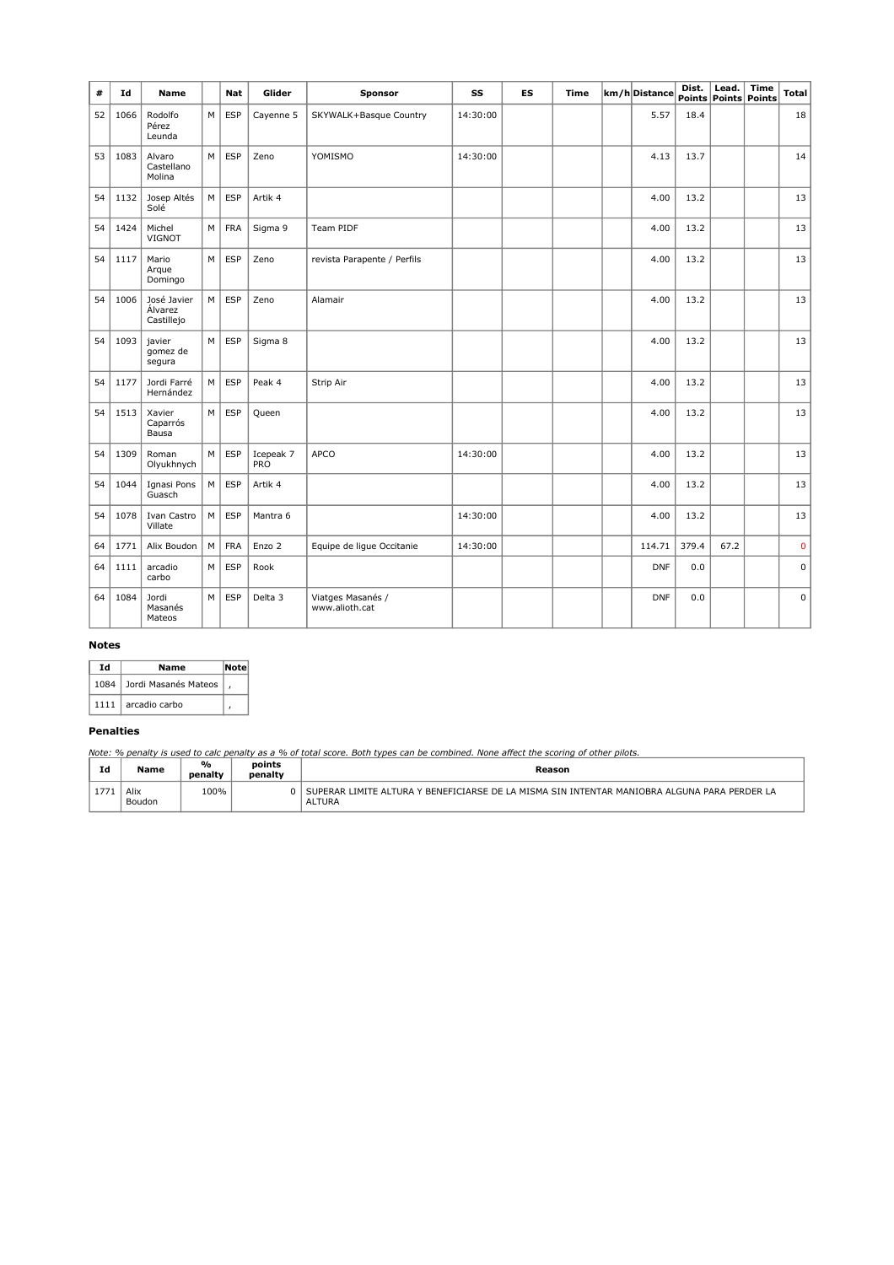| #  | Id   | <b>Name</b>                          |   | <b>Nat</b> | Glider                  | <b>Sponsor</b>                      | SS       | ES | <b>Time</b> | km/hDistance | Dist. | Lead. | Time<br>Points Points Points | <b>Total</b> |
|----|------|--------------------------------------|---|------------|-------------------------|-------------------------------------|----------|----|-------------|--------------|-------|-------|------------------------------|--------------|
| 52 | 1066 | Rodolfo<br>Pérez<br>Leunda           | M | ESP        | Cayenne 5               | SKYWALK+Basque Country              | 14:30:00 |    |             | 5.57         | 18.4  |       |                              | 18           |
| 53 | 1083 | Alvaro<br>Castellano<br>Molina       | M | <b>ESP</b> | Zeno                    | YOMISMO                             | 14:30:00 |    |             | 4.13         | 13.7  |       |                              | 14           |
| 54 | 1132 | Josep Altés<br>Solé                  | M | <b>ESP</b> | Artik 4                 |                                     |          |    |             | 4.00         | 13.2  |       |                              | 13           |
| 54 | 1424 | Michel<br>VIGNOT                     | M | <b>FRA</b> | Sigma 9                 | Team PIDF                           |          |    |             | 4.00         | 13.2  |       |                              | 13           |
| 54 | 1117 | Mario<br>Arque<br>Domingo            | M | ESP        | Zeno                    | revista Parapente / Perfils         |          |    |             | 4.00         | 13.2  |       |                              | 13           |
| 54 | 1006 | José Javier<br>Álvarez<br>Castillejo | M | <b>ESP</b> | Zeno                    | Alamair                             |          |    |             | 4.00         | 13.2  |       |                              | 13           |
| 54 | 1093 | javier<br>gomez de<br>segura         | M | <b>ESP</b> | Sigma 8                 |                                     |          |    |             | 4.00         | 13.2  |       |                              | 13           |
| 54 | 1177 | Jordi Farré<br>Hernández             | M | ESP        | Peak 4                  | Strip Air                           |          |    |             | 4.00         | 13.2  |       |                              | 13           |
| 54 | 1513 | Xavier<br>Caparrós<br>Bausa          | M | ESP        | Queen                   |                                     |          |    |             | 4.00         | 13.2  |       |                              | 13           |
| 54 | 1309 | Roman<br>Olyukhnych                  | M | ESP        | Icepeak 7<br><b>PRO</b> | APCO                                | 14:30:00 |    |             | 4.00         | 13.2  |       |                              | 13           |
| 54 | 1044 | Ignasi Pons<br>Guasch                | M | <b>ESP</b> | Artik 4                 |                                     |          |    |             | 4.00         | 13.2  |       |                              | 13           |
| 54 | 1078 | Ivan Castro<br>Villate               | M | ESP        | Mantra 6                |                                     | 14:30:00 |    |             | 4.00         | 13.2  |       |                              | 13           |
| 64 | 1771 | Alix Boudon                          | M | <b>FRA</b> | Enzo 2                  | Equipe de lique Occitanie           | 14:30:00 |    |             | 114.71       | 379.4 | 67.2  |                              | $\mathbf 0$  |
| 64 | 1111 | arcadio<br>carbo                     | M | <b>ESP</b> | Rook                    |                                     |          |    |             | <b>DNF</b>   | 0.0   |       |                              | $\mathbf 0$  |
| 64 | 1084 | Jordi<br>Masanés<br>Mateos           | M | <b>ESP</b> | Delta 3                 | Viatges Masanés /<br>www.alioth.cat |          |    |             | <b>DNF</b>   | 0.0   |       |                              | $\mathbf 0$  |

#### **Notes**

| Td   | Name                      | Note |  |  |
|------|---------------------------|------|--|--|
|      | 1084 Jordi Masanés Mateos |      |  |  |
| 1111 | arcadio carbo             |      |  |  |

## **Penalties**

*Note: % penalty is used to calc penalty as a % of total score. Both types can be combined. None affect the scoring of other pilots.*

| Id | Name           | $\frac{1}{2}$<br>penalty | points<br>penalty | Reason                                                                                                                                   |
|----|----------------|--------------------------|-------------------|------------------------------------------------------------------------------------------------------------------------------------------|
|    | Alix<br>Boudon | 100%                     |                   | LA MISMA SIN INTENTAR MANIOBRA ALGUNA PARA PERDER LA<br><b>/ RENEFICIARSE DE L</b><br>I IMITF<br>: AI TURA<br>SUPERAR I<br><b>ALTURA</b> |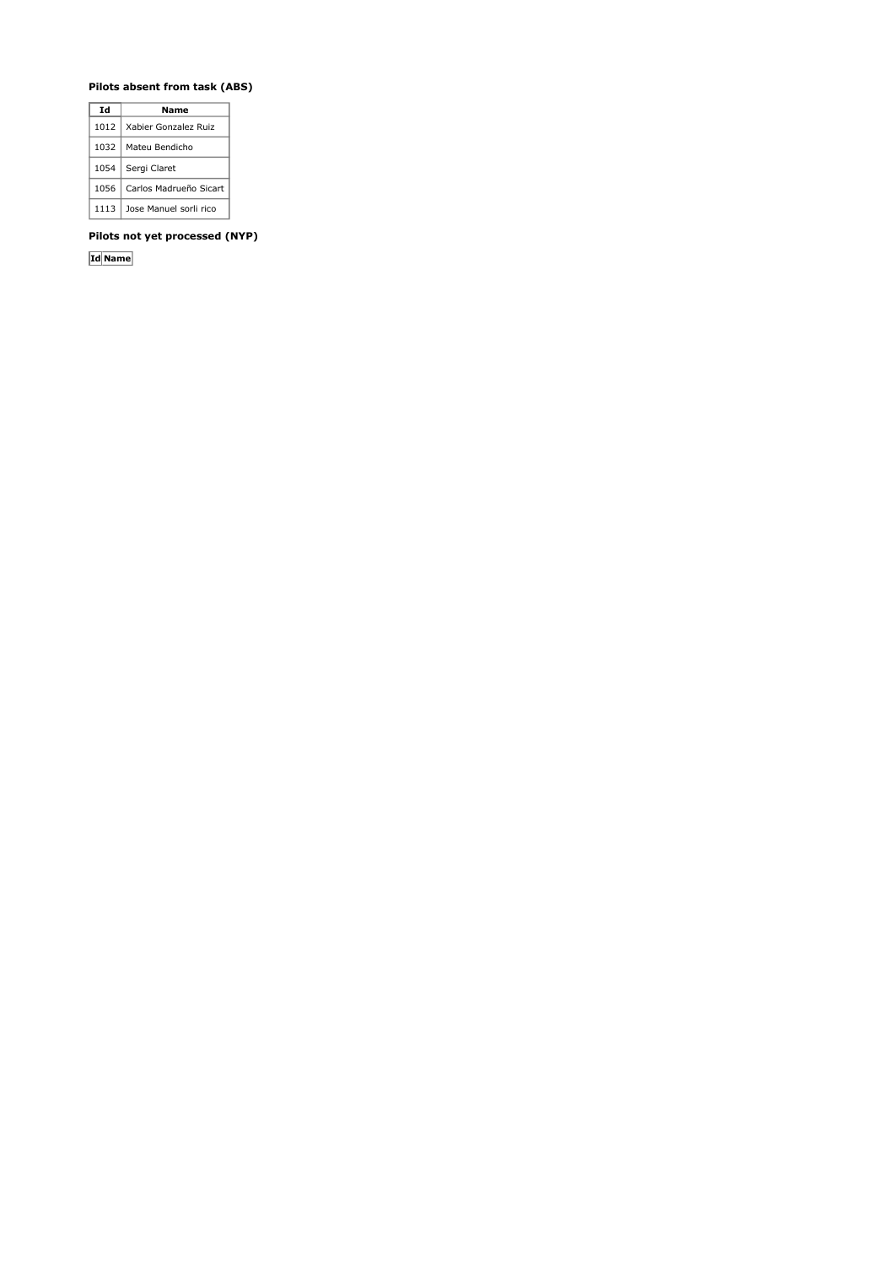## **Pilots absent from task (ABS)**

| Ιd   | Name                   |
|------|------------------------|
| 1012 | Xabier Gonzalez Ruiz   |
| 1032 | Mateu Bendicho         |
| 1054 | Sergi Claret           |
| 1056 | Carlos Madrueño Sicart |
| 1113 | Jose Manuel sorli rico |

**Pilots not yet processed (NYP)**

**Id Name**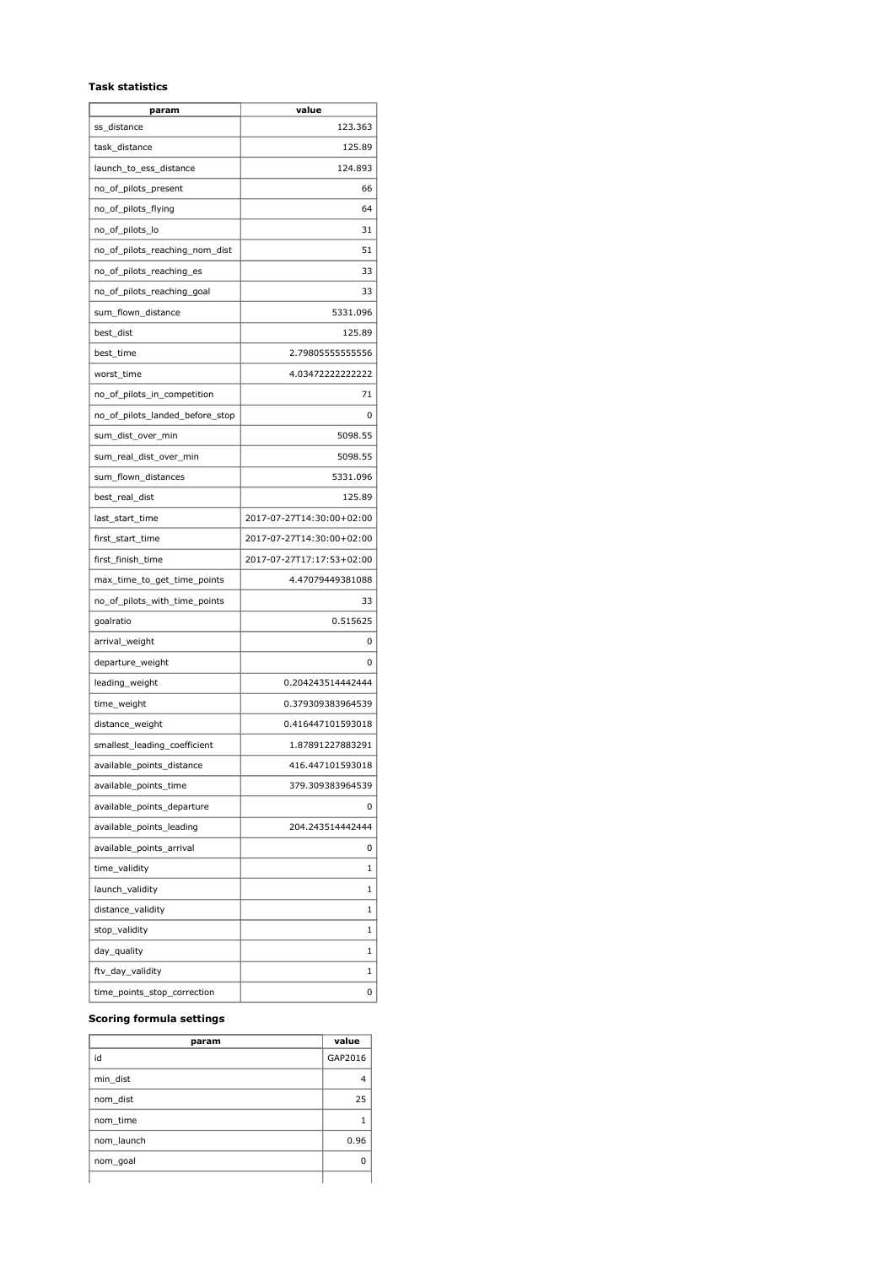#### **Task statistics**

| param                           | value                     |
|---------------------------------|---------------------------|
| ss distance                     | 123.363                   |
| task_distance                   | 125.89                    |
| launch_to_ess_distance          | 124.893                   |
| no_of_pilots_present            | 66                        |
| no_of_pilots_flying             | 64                        |
| no_of_pilots_lo                 | 31                        |
| no_of_pilots_reaching_nom_dist  | 51                        |
| no_of_pilots_reaching_es        | 33                        |
| no_of_pilots_reaching_goal      | 33                        |
| sum_flown_distance              | 5331.096                  |
| best_dist                       | 125.89                    |
| best_time                       | 2.79805555555556          |
| worst_time                      | 4.034722222222222         |
| no_of_pilots_in_competition     | 71                        |
| no_of_pilots_landed_before_stop | 0                         |
| sum_dist_over_min               | 5098.55                   |
| sum_real_dist_over_min          | 5098.55                   |
| sum_flown_distances             | 5331.096                  |
| best_real_dist                  | 125.89                    |
| last_start_time                 | 2017-07-27T14:30:00+02:00 |
| first_start_time                | 2017-07-27T14:30:00+02:00 |
| first_finish_time               | 2017-07-27T17:17:53+02:00 |
| max_time_to_get_time_points     | 4.47079449381088          |
| no_of_pilots_with_time_points   | 33                        |
| goalratio                       | 0.515625                  |
| arrival_weight                  | 0                         |
| departure_weight                | 0                         |
| leading_weight                  | 0.204243514442444         |
| time_weight                     | 0.379309383964539         |
| distance_weight                 | 0.416447101593018         |
| smallest_leading_coefficient    | 1.87891227883291          |
| available_points_distance       | 416.447101593018          |
| available_points_time           | 379.309383964539          |
| available_points_departure      | 0                         |
| available_points_leading        | 204.243514442444          |
| available_points_arrival        | 0                         |
| time_validity                   | 1                         |
| launch_validity                 | 1                         |
| distance_validity               | 1                         |
| stop_validity                   | 1                         |
| day_quality                     | 1                         |
| ftv_day_validity                | 1                         |
| time_points_stop_correction     | 0                         |

## **Scoring formula settings**

| param      | value   |
|------------|---------|
| id         | GAP2016 |
| min dist   | 4       |
| nom dist   | 25      |
| nom time   |         |
| nom launch | 0.96    |
| nom_goal   | ŋ       |
|            |         |